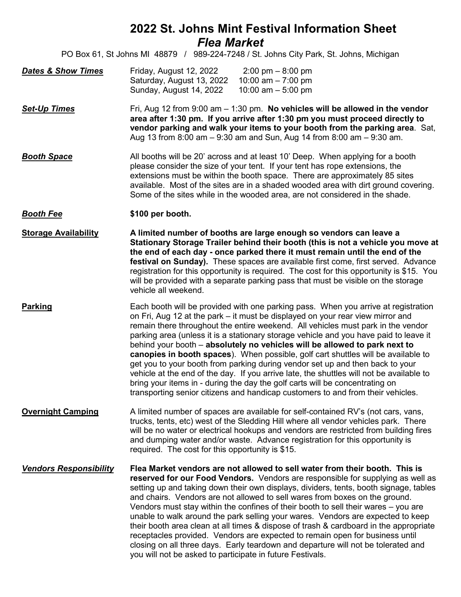## **2022 St. Johns Mint Festival Information Sheet** *Flea Market*

PO Box 61, St Johns MI 48879 / 989-224-7248 / St. Johns City Park, St. Johns, Michigan

| <b>Dates &amp; Show Times</b> | Friday, August 12, 2022   | $2:00 \text{ pm} - 8:00 \text{ pm}$ |
|-------------------------------|---------------------------|-------------------------------------|
|                               | Saturday, August 13, 2022 | 10:00 am $-$ 7:00 pm                |
|                               | Sunday, August 14, 2022   | 10:00 am $-$ 5:00 pm                |

*Set-Up Times* Fri, Aug 12 from 9:00 am – 1:30 pm. **No vehicles will be allowed in the vendor area after 1:30 pm. If you arrive after 1:30 pm you must proceed directly to vendor parking and walk your items to your booth from the parking area**. Sat, Aug 13 from 8:00 am – 9:30 am and Sun, Aug 14 from 8:00 am – 9:30 am.

**Booth Space** All booths will be 20' across and at least 10' Deep. When applying for a booth please consider the size of your tent. If your tent has rope extensions, the extensions must be within the booth space. There are approximately 85 sites available. Most of the sites are in a shaded wooded area with dirt ground covering. Some of the sites while in the wooded area, are not considered in the shade.

## *Booth Fee* **\$100 per booth.**

**Storage Availability A limited number of booths are large enough so vendors can leave a Stationary Storage Trailer behind their booth (this is not a vehicle you move at the end of each day - once parked there it must remain until the end of the festival on Sunday).** These spaces are available first come, first served. Advance registration for this opportunity is required. The cost for this opportunity is \$15. You will be provided with a separate parking pass that must be visible on the storage vehicle all weekend.

**Parking** Each booth will be provided with one parking pass. When you arrive at registration on Fri, Aug 12 at the park – it must be displayed on your rear view mirror and remain there throughout the entire weekend. All vehicles must park in the vendor parking area (unless it is a stationary storage vehicle and you have paid to leave it behind your booth – **absolutely no vehicles will be allowed to park next to canopies in booth spaces**). When possible, golf cart shuttles will be available to get you to your booth from parking during vendor set up and then back to your vehicle at the end of the day. If you arrive late, the shuttles will not be available to bring your items in - during the day the golf carts will be concentrating on transporting senior citizens and handicap customers to and from their vehicles.

**Overnight Camping** A limited number of spaces are available for self-contained RV's (not cars, vans, trucks, tents, etc) west of the Sledding Hill where all vendor vehicles park. There will be no water or electrical hookups and vendors are restricted from building fires and dumping water and/or waste. Advance registration for this opportunity is required. The cost for this opportunity is \$15.

*Vendors Responsibility* **Flea Market vendors are not allowed to sell water from their booth. This is reserved for our Food Vendors.** Vendors are responsible for supplying as well as setting up and taking down their own displays, dividers, tents, booth signage, tables and chairs. Vendors are not allowed to sell wares from boxes on the ground. Vendors must stay within the confines of their booth to sell their wares – you are unable to walk around the park selling your wares. Vendors are expected to keep their booth area clean at all times & dispose of trash & cardboard in the appropriate receptacles provided. Vendors are expected to remain open for business until closing on all three days. Early teardown and departure will not be tolerated and you will not be asked to participate in future Festivals.